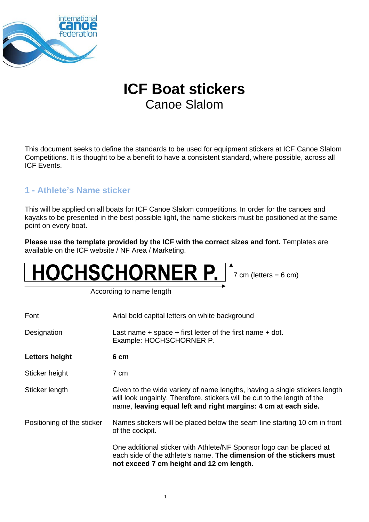

# **ICF Boat stickers** Canoe Slalom

This document seeks to define the standards to be used for equipment stickers at ICF Canoe Slalom Competitions. It is thought to be a benefit to have a consistent standard, where possible, across all ICF Events.

## **1 - Athlete's Name sticker**

This will be applied on all boats for ICF Canoe Slalom competitions. In order for the canoes and kayaks to be presented in the best possible light, the name stickers must be positioned at the same point on every boat.

**Please use the template provided by the ICF with the correct sizes and font.** Templates are available on the ICF website / NF Area / Marketing.

# HOCHSCHORNER P. Tr cm (letters = 6 cm)

According to name length

| Font                       | Arial bold capital letters on white background                                                                                                                                                                           |
|----------------------------|--------------------------------------------------------------------------------------------------------------------------------------------------------------------------------------------------------------------------|
| Designation                | Last name $+$ space $+$ first letter of the first name $+$ dot.<br>Example: HOCHSCHORNER P.                                                                                                                              |
| Letters height             | 6 cm                                                                                                                                                                                                                     |
| Sticker height             | 7 cm                                                                                                                                                                                                                     |
| Sticker length             | Given to the wide variety of name lengths, having a single stickers length<br>will look ungainly. Therefore, stickers will be cut to the length of the<br>name, leaving equal left and right margins: 4 cm at each side. |
| Positioning of the sticker | Names stickers will be placed below the seam line starting 10 cm in front<br>of the cockpit.                                                                                                                             |
|                            | One additional sticker with Athlete/NF Sponsor logo can be placed at<br>each side of the athlete's name. The dimension of the stickers must<br>not exceed 7 cm height and 12 cm length.                                  |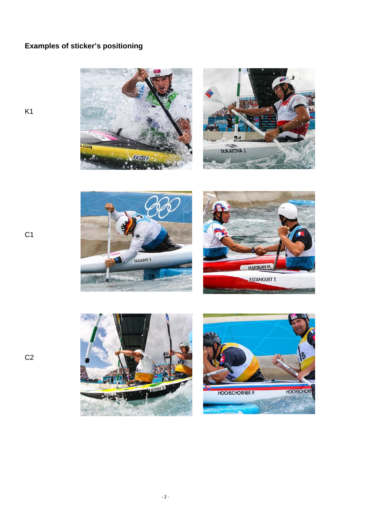# **Examples of sticker's positioning**













C1

K1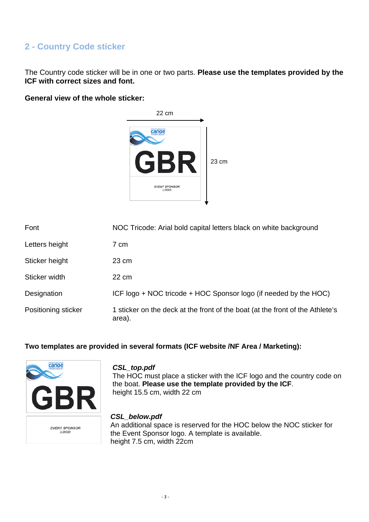### **2 - Country Code sticker**

The Country code sticker will be in one or two parts. **Please use the templates provided by the ICF with correct sizes and font.** 

#### **General view of the whole sticker:**



| Font                | NOC Tricode: Arial bold capital letters black on white background                       |
|---------------------|-----------------------------------------------------------------------------------------|
| Letters height      | 7 cm                                                                                    |
| Sticker height      | $23 \text{ cm}$                                                                         |
| Sticker width       | 22 cm                                                                                   |
| Designation         | ICF logo + NOC tricode + HOC Sponsor logo (if needed by the HOC)                        |
| Positioning sticker | 1 sticker on the deck at the front of the boat (at the front of the Athlete's<br>area). |

#### **Two templates are provided in several formats (ICF website /NF Area / Marketing):**



EVENT SPONSOR<br>LOGO

#### *CSL\_top.pdf*

The HOC must place a sticker with the ICF logo and the country code on the boat. **Please use the template provided by the ICF**. height 15.5 cm, width 22 cm

#### *CSL\_below.pdf*

An additional space is reserved for the HOC below the NOC sticker for the Event Sponsor logo. A template is available. height 7.5 cm, width 22cm